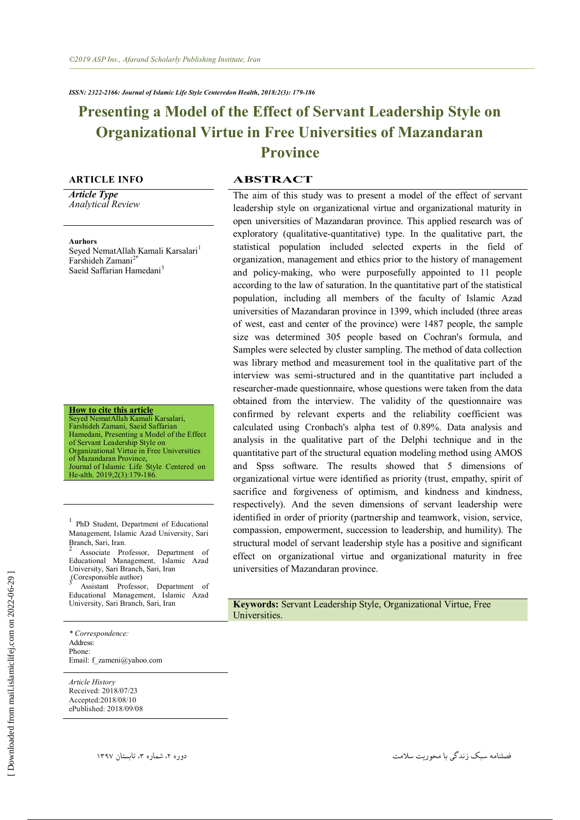# **Presenting a Model of the Effect of Servant Leadership Style on Organizational Virtue in Free Universities of Mazandaran Province**

*Article Type Analytical Review*

**Aurhors**

Seyed NematAllah Kamali Karsalari<sup>1</sup> Farshideh Zamani<sup>2\*</sup> Saeid Saffarian Hamedani<sup>3</sup>

**How to cite this article** Seyed NematAllah Kamali Karsalari, Farshideh Zamani, Saeid Saffarian Hamedani, Presenting a Model of the Effect of Servant Leadership Style on Organizational Virtue in Free Universities of Mazandaran Province, Journal of Islamic Life Style Centered on

He-alth. 2019;2(3):179-186.

<sup>1</sup> PhD Student, Department of Educational Management, Islamic Azad University, Sari

Branch, Sari, Iran. 2 Associate Professor, Department of Educational Management, Islamic Azad University, Sari Branch, Sari, Iran

 $\int_{3}^{3}$ (Coresponsible author) Assistant Professor, Department of Educational Management, Islamic Azad

*\* Correspondence:*  Address: Phone: Email: f\_zameni@yahoo.com

*Article History* Received: 2018/07/23 Accepted:2018/08/10 ePublished: 2018/09/08

# **ARTICLE INFO ABSTRACT**

The aim of this study was to present a model of the effect of servant leadership style on organizational virtue and organizational maturity in open universities of Mazandaran province. This applied research was of exploratory (qualitative-quantitative) type. In the qualitative part, the statistical population included selected experts in the field of organization, management and ethics prior to the history of management and policy-making, who were purposefully appointed to 11 people according to the law of saturation. In the quantitative part of the statistical population, including all members of the faculty of Islamic Azad universities of Mazandaran province in 1399, which included (three areas of west, east and center of the province) were 1487 people, the sample size was determined 305 people based on Cochran's formula, and Samples were selected by cluster sampling. The method of data collection was library method and measurement tool in the qualitative part of the interview was semi-structured and in the quantitative part included a researcher-made questionnaire, whose questions were taken from the data obtained from the interview. The validity of the questionnaire was confirmed by relevant experts and the reliability coefficient was calculated using Cronbach's alpha test of 0.89%. Data analysis and analysis in the qualitative part of the Delphi technique and in the quantitative part of the structural equation modeling method using AMOS and Spss software. The results showed that 5 dimensions of organizational virtue were identified as priority (trust, empathy, spirit of sacrifice and forgiveness of optimism, and kindness and kindness, respectively). And the seven dimensions of servant leadership were identified in order of priority (partnership and teamwork, vision, service, compassion, empowerment, succession to leadership, and humility). The structural model of servant leadership style has a positive and significant effect on organizational virtue and organizational maturity in free universities of Mazandaran province.

Keywords: Servant Leadership Style, Organizational Virtue, Free Universities.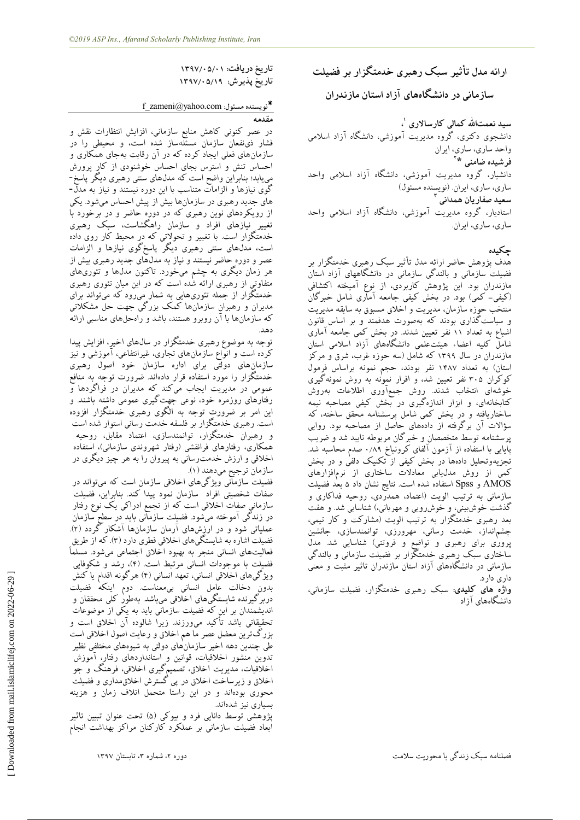**ارائه مذل تأثیز سبک رهبزی خذمتگشاربز فضیلت سبسمبنی در دانطگبههبی آساد استبن مبسنذران**

سید نعمتالله کمال<sub>ی</sub> کارسالاری <sup>'</sup>؛ **،** دانشجوی دکتری، گروه مدیریت آموزشی، دانشگاه آزاد اسلامی واحد سارى، ساري، ايران **2 فزضیذه ضبمنی \*** دانشیار، گروه مدیریت آموزشی، دانشگاه آزاد اسلامی واحد ساري، ساري، ايران. (نويسنده مسئول) **سعیذ صفبریبن همذانی 3** استادیار، گروه مدیریت آموزشی، دانشگاه آزاد اسلامی واحد ساری، ساری، ایران.

# **چکیذه**

هدف پژوهش حاضر ارائه مدل تأثیر سبک رهبری خدمتگزار بر فضیلت سازمانی و بالندگی سازمانی در دانشگاههای آزاد استان مازندران بود. این پژوهش کاربردی، از نوع آمیخته اکتشافی (کیفی- کمی) بود. در بخش کیفی جامعه آمآری شامل خبرگان منتخب حوزه سازمان، مدیریت و اخلاق مسبوق به سابقه مدیریت و سیاستگذاری بودند که بهصورت هدفمند و بر اساس قانون اشباع به تعداد ۱۱ نفر تعیین شدند. دِرِ بخش کِمی جامعه آماری س<br>شامل کلیه اعضاء هیئتعلمی دانشگاههای آزاد اسلامی استان مازندران در سال ۱۳۹۹ که شامل (سه حوزه غرب، شرق و مرکز استان) به تعداد ۱۴۸۷ نفر بودند، حجم نمونه براساس فرمول کوکران ۳۰۵ نفر تعیین شد، و افرار نموْنه به روش نمونهگیری خوشهای انتخاب شدند. روش جمعآوری اطلاعات بهروش کتابخانهای، و ابزار اندازهگیری در بخش کیفی مصاحبه نیمه ساختاریافته و در بخش کمی شامل پرسشنامه محقق ساخته، که سؤالات آن برگرفته از دادههای حاصل از مصاحبه بود. روایی پرسشنامه توسط متخصصان و خبرگان مربوطه تایید شد و ضریب پایایی با استفاده از آزمون آلفای کرونباخ ۰/۸۹ صدم محاسبه شد. تجزیهوتحلیل دادهها در بخش کیفی از تکنیک دلفی و در بخش کمی از روش مدل،یابی معادلات ساختاری از نرمافزارهای AMOS و Spss استفاده شده است. نتایج نشان داد ۵ بعد فضیلت سازمانی به ترتیب الویت (اعتماد، همدرِّدی، روحیه فداکاری و گذشت خوشبینی، و خوشرویی و مهربانی،) شناسایی شد. و هفت بعد رهبری خدمتگزار به ترتیب الویت (مشارکت و کار تیمی، چشمانداز، خدمت رسانی، مهرورزی، توانمندسازی، جانشین پروری برای رهبری و تواضع و فروتنی) شناسایی شد. مدل ساختاری سبک رهبری خدمتگزار بر فضیلت سازمانی و بالندگی سازمانی در دانشگاههای آزاد استان مازندران تاثیر مثبت و معنی داری دارد.

**واژه های کلیدی**: سبک رهبری خدمتگزار، فضیلت سازمانی، دانشگاههای آزاد

**تبریخ دریبفت: 1397/05/01 تبریخ پذیزش: 1397/05/19**

# f\_zameni@yahoo.com **:مسئول نویسنذه**

**مقذمه** در عصر کنونی کاهش منابع سازمانی، افزایش انتظارات نقش و فشار ذی نفعان سازمان مسئلهساز شده است، و محیطی را در سازمانِ های فعلی ایجاد کرده که در آن رقابت بهجای همکاری و احساس تنش و استرس بجای احساس خوشنودی از کار پرورش مییابد؛ بنابراین واضح است که مدلهای سنتی رهبری دیگر پاسخ-گوی نیازها و الزامات متناسب با این دوره نیستند و نیاز به مدلّ– های جدید رهبری در سازمانها بیش از پیش احساس میشود. یکی از رویکردهای نوین رهبری که در دورِهِ حاضر و درِ برخورد با تغییر نیازهای افراد و سازمان راهگشاست، سبک رهبری خدمتگزار است. با تغییر و تحولاتی که در محیط کار روی داده است، مدلّهای سنتی رهبری دیگر پاسخگوی نیازها و الزامات عصر و دوره حاضر نیستند و نیاز به مدلّهای جدید رهبری بیش از هر زمّان دیگری به چشم میخورد ِ تاکنون مدلها و تئوریهای متفاوتی از رهبری ارائه شُده است که در این میان تئوری رهبری خدمتگزار از جمله تئوریهایی به شمار میرود که میتواند برای مدیران و رهبران سازمانها کمک بزرگی جهت حل مشکلاتی که سازمانها با آن روبرو هستند، باشد و راهحلهای مناسبی ارائه زّس.

تُوجّه به موضوع رهبری خُدّمتگزار در سال های اخیرِ، افزایش پیدا کرده است و انواع سازمانهای تجاری، غیرانتفاعی، آموزشی و نیز سازمانِ های دولتی برای اداره سازمان خود اصول رهبری خدمتگزار را مورد استفاده قرار دادهاند. ضرورت توجه به منافع عمومی در مدیریت ایجاب میکند که مدیران در فراگردها و رفتارهای روزمره خود، نوعی جهت گیری عمومی داشته باشند. و این امر بر ضرورتِ توجه به الگوی رهبری خدمتگزار افزوده است. رهبری خدمتگزار بر فلسفه خدمت رسانی استوار شده است و رهبران خدمتگزار، توانمندسازی، اعتماد مقابل، روحیه همکاری، رفتارهای فرانقشی (رفتار شهروندی سازمانی)، اِستفاده اخلاقی و ارزش خدمت<code>رسانی</code> به پیروان را به هر چیز دیگری در سازمان ترجیح میدهند (۱).

فضیلت سازمآنی ویژگی@ای اخلاقی سازمان است که میتواند در صفات شخصیتی افراد ًسازمان نمود پیدا کند. بنابراین، فضیلت سازمانی صفات اخلاقی است که از تجمع ادراکی یک نوع رفتار در زندگی آموخته میشود. فضیلت سازمآنی باید در سطح سازمان عملیاتی شود و در ارزشهای آرمان سازمانها آشکار گردد (۲). ت.<br>فضیلت اشاره به شایستگیّهای اخلاقی فطری دارد (۳). که از طریق فعالیتّهای انسانی منجر به بهبود اخلاق اجتماعی میشود. مسلماً فضیلت با موجودات انسانی مرتبط است. (۴)، رشد و شکوفایی ویژگیّهای اخلاقی انسانی، تعهد انسانی (۴) هرگونه اقدام یا کنش بدون دخالت عامل انسانی بی،معناست. دوم اینکه فضیلت دربرگیرنده شایستگیهای اخلاقی میباشد بهطور کلی محققان و اندیشمندان بر این که فضیلت سازمانی باید به یِکی از موضوعات تحقیقاتی باشد تأکید میورزند. زیرا شالوده ان اخلاق است و بزرگترین معضل عصر ما هم اخلاق و رعایت اصول اخلاقی است طی چندین دهه اخیر سازمان های دولتی به شیوههای مختلفی نظیر تدوین منشور اخلاقیات، قوانین و استانداردهای رفتارٍ، اموزش اخلاقیات، مدیریت اخلاق، تصمیمگیری اخلاقی، فرهنگ و جو اخلاق و زیرساخت اخلاق در پی گسترش اخلاقیمداری و فضیلت محوری بودهاند و در این راستا متحمل اتلاف زمان و هزینه بسیاری نیز شدهاند.

پژوهشی توسط دانایی فرد و بیوکی (۵) تحت عنوان تبیین تاثیر ابعاد فضیلت سازمانی بر عملکرد کارکنان مراکز بهداشت انجام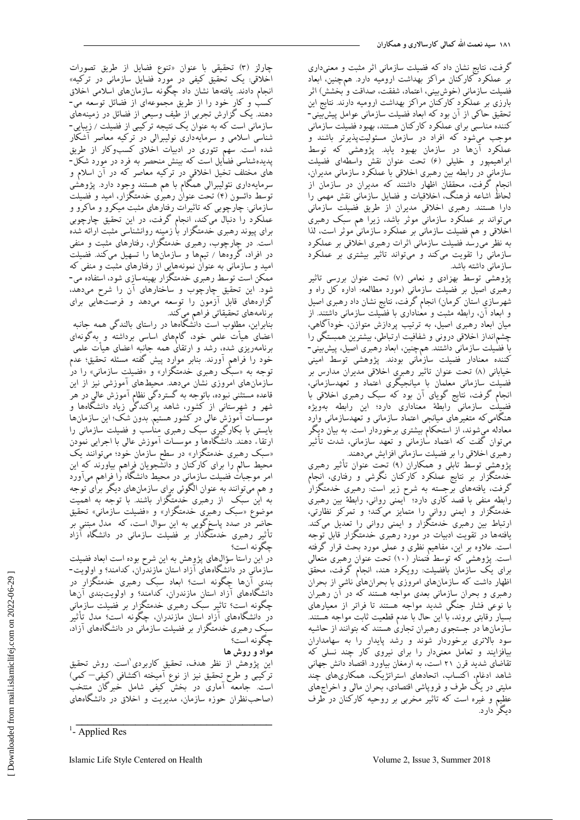گرفت، نتایج نشان داد که فضیلت سازمانی اثر مثبت و معنیداری بر عملکرد کارکنان مراکز بهداشت ارومیه دارد. همچنین، ابعاد فضیلت سازمانی (خوش،بینی، اعتماد، شفقت، صداقت و<sup>'</sup>بخشش) اثر بارزی بر عملکرد کارکنان مراکز بهداشت ارومیه دارند. نتایج این تحقیق حاکی از آن بود که ابعاد فضیلت سازمانی عوامل پیشبییتی-کننده مناسبی برای عملکرد کارکنان هستند، بهبود فضیلت سازمانی موجب میشود که افراد در سازمان مسئولیتپذیرتر باشند و عملکرد آنها در سازمان بهبود یابد. پژوهشی که توسط ابراهیمپور و خلیلی (۶) تحت عنوان نقش واسطهای فضیلت سازمانی در رابطه بین رهبری اخلاقی با عملکرد سازمانی مدیران، انجام گرفت، محققان اظهار داشتند که مدیران در سازمان از لحاظ اشاعه فرهنگ، اخلاقیات و فضایل سازمانی نقش مهمی را دارا هستند. رهبری اخلاقی مدیران از طریق فضیلت سازمانی میتواند بر عملکرد سازمانی موثر باشد، زیرا هم سبک رهبری اخلاقی و هم فضیلت سازمانی بر عملکرد سازمانی موثر است، لذا به نظر می رسد فضیلت سازمانی اثرات رهبری اخلاقی بر عملکرد سازمانی را تقویت میکند و میتواند تاثیر بیشتری بر عملکرد سازمانی داشته باشد.

پژوهشی توسط بهزادی و نعامی (۷) تحت عنوان بررسی تاثیر رهبری اصیل بر فضیلت سازمانی (مورد مطالعه: اداره کل راه و شهرسازی استان کرمان) انجام گرفت، نتایج نشان داد رهبری اصیل و ابعاد آن، رابطه مثبت و معناداری با فضیلت سازمانی داشتند. از میان ابعاد رهبری اصیل، به ترتیب پردازش متوازن، خودآگاهی، چشمانداز اخلاقی درونی و شفافیت ارتباطی، بیشترین همبستگی را با فضٰیلت سازمانی داشتند. همچنین، ابعاد رهبری اصیل، پیش بینی-کننده معنادار فضیلت سازمانی بودند. پژوهشی توسط امینی خیابانی (٨) تحت عنوان تاثیر رهبری اخلاقی مدیران مدارس بر فضیلت سازمانی معلمان با میانجیگری اعتماد و تعهدسازمانی، انجام گرفت، نتایج گویای آن بود که سبک رهبری اخلاقی با فضیلت سازمانی رابطهٔ معناداری دارد؛ این رابطه بهویژه هنگامیکه متغیرهای میانجی اعتماد سازمانی و تعهدسازمانی وارد معادله میشوند، از استحکام بیشتری برخوردار است. به بیان دیگر میتوان گفت که اعتماد سازمانی و تعهّد سازمانی، شدّت تأثیر ر<br>میری اخلاقی را بر فضیلت سازمانی افزایش میدهند.

پژوهشی توسط تابلی و همکاران (۹) تحت عنوان تأثیر رهبری خدمتگزار بر نتایج عملکرد کارکنان نگرشی و رفتاری، انجام گرفت، یافتههای برجسته به شرح زیر است: رهبری خدمتگزار رابطه منفی با قصد کاری دارد؛ آیمنی روانی، رابطهٔ بین رهبری خدمتگزار و ایمنی روانی را متمایز میکند؛ و تمرکز نظارتی، ارتباط بین رهبری خدمتگزار و ایمنی روانی را تعدیل میکند. یافتهها در تقویت ادبیات در مورد رهبری خدمتگزار قابل توجه است. علاوه بر این، مفاهیم نظری و عملی مورد بحث قرار گرفته است. پژوهشی که توسط فتمنار (۱۰) تحت عنوان رهبری متعالی برای یک سازمان بافضیلت: رویکرد هند، انجام گرفت، محقق اظْهار داشت که سازمانهای امروزی با بحرانهایّ ناشی از بحران رهبری و بحران سازمانی بعدی مواجه هستند که در آن رهبران با نوعی فشار جنگی شدید مواجه هستند تا فراتر از معیارهای بسیار رقابتی بروند، با این حال با عدم قطعیت ثابت مواجه هستند. سازمانها در جستجوی رهبران تجاری هستند که بتوانند از حاشیه سود بالاتری برخوردار شوند و رشد پایدار را به سهامداران بیافزایند و تعامل معنیدار را برای نیروی کار چند نسلی که تقاضای شدید قرن ۲۱ است، به ارمغان بیاورد. اقتصاد دانش جهانی شاهد ادغام، اکتساب، اتحادهای استراتژیک، همکاریهای چند ملیتی در یک طرف و فروپاشی اقتصادی، بحران مالی و اخراجهای عظیم و غیره است که تاثیر مخربی بر روحیه کارکنان در طرف دیگرٰ دارد.

چارلز (٣) تحقیقی با عنوان «تنوع فضایل از طریق تصورات اخلاقی: یک تحقیق کیفی در مورد فضایل سازمانی در ترکیه» انجام دادند. یافتهها نشان داد چگونه سازمانهای اسلامی اخلاق کسب و کار خود را از طریق مجموعهای از فضائل توسعه می-دهند. یک گزارش تجربی از طیف وسیعی از فضائل در زمینههای سازمانی است که به عنوان یک نتیجه ترکیبی از فضیلت / زیبایی-شناسی اسلامی و سرمایهداری نولیبرالی در ترکیه معاصر آشکار شده است. سهم تئوری در ادبیات اخلاق کسبوکار از طریق پدیدهشناسی فضایل است که بینش منحصر به فرد در مورد شکل-.<br>های مختلف تخیل اخلاقی در ترکیه معاصر که در آن اسلام و سرمایهداری نئولیبرالی همگام با هم هستند وِجود دارد. پژوهشی توسط دائسون (۴) تحت عنوان رهبری خدمتگزار، امید و فضیلت سازمانی: چارچوبی که تاثیرات رفتارهای مثبت میکرو و ماکرو و عملکرد را دنبال میکند، انجام گرفت، در این تحقیق چارچوبی برای پیوند رهبری خدمتگزار با زمینه روانشناسی مثبت ارائه شده است. در چارچوب، رهبری خدمتگزار، رفتارهای مثبت و منفی در افراد، گروهها / تیمها و سازمانها را تسهیل میکند. فضیلت امید و سازمانی به عنوان نمونههایی از رفتارهای مثبت و منفی که ممکن است توسط رهبری خدمتگزار بهینهسازی شود، استفاده می-شود. این تحقیق چارچوب و ساختارهای آن را شرح میدهد، گزارههای قابل آزمون را توسعه میدهد و فرصتهایی برای برنامههای تحقیقاتی فراهم مِیکند.

بنابراین، مطلوب است دانْشگاهها در راستای بالندگی همه جانبه اعضای هیأت علمی خود، گامهای اساسی برداشته و بهگونهای برِنامهریزی شده، رَشد وَ ارتقایٰ همه جانبه اعضای هیأت علمی خُود را فراهم آورند. بنابر موارد پیش گفته مسئله تحقیق؛ عدم توجه به «سبک رهبری خدمتگزار» و «فضیلت سازمانی» را در سازمان های امروزی نشان میّدهد. محیطهای آموزشی نیز از این قاعده مستثنی نبوده، باتوجِه به گستردگی نظام آموزش عالی در هر شهر و شهرستانی از کشور، شاهد پراکندگُی زیاد دانشگاهها و موسسات آموزش عالی در کشور هستیم. بدون شک؛ این سازمانها بایستی با بکارگیری سبک رهبری مناسب و فضیلت سازمانی را .<br>ارتقاء دهند. دانشگاهها و موسسات آموزش عالی با اجرایی نمودن «سبک رهبری خدمتگزار» در سطح سازمان خود؛ میتوانند یک محیط سالم را برای کارکنان و دانشجویان فراهم بیاورند که این امر موجبات فضیلت سازمانی در محیط دانشگاه را فراهم میآورد و هم میّتوانند به عنوان الگوئی برای سازمانهای دیگر برٰای توجه به این سبک از رهبری خدمتگزار باشند. با توجه به اهمیت موضوع «سبک رهبری خدمتگزار» و «فضیلت سازمانی» تحقیق حاضر در صدد پاسخگویی به این سوال است، که ً مدل مبتنی بُر تأثیر رهبری خدمتگذار بر فضیلت سازمانی در دانشگاه آزاد چگونه است؟

در این راستا سؤالّهای پژوهش به این شرح بوده است ابعاد فضیلت سازمانی در دانشگاههای آزاد استان مازندران، کدامند؟ و اولویت-بندی آنها چگونه است؟ ابعاد سبک رهبری خدمتگزار در دانشگاههای آزاد استان مازندران، کدامند؟ و اولویتبندی آنها چگونه اِست؟ تاثیر سبک رهبری خدمتگزار بر فضیلت سازمانی دُر دانشگاههاى آزاد استان مازندران، چگونه است؟ مدل تأثیر سبک رهبری خدمتگزار بر فضیلت سازمانی در دانشگاههای آزاد، چگونه است؟

# **مواد و روش هب**

اینِ پژوهش از نظر هدف، تحقیقِ کاربردیِ است. روش تحقیق ترکیبی و طرح تحقیق نیز از نوع آمیخته اکتشافی (کیفی– کمی) است. جامعه آماری در بخش کیفی شامل خبرگان منتخب (صاحبنظران حوزه سازمان، مدیریت و اخلاق در دانشگاههای

\_\_\_\_\_\_\_\_\_\_\_\_\_\_\_\_\_\_\_\_\_\_\_\_\_\_\_\_\_\_\_\_\_

 $\frac{1}{2}$ - Applied Res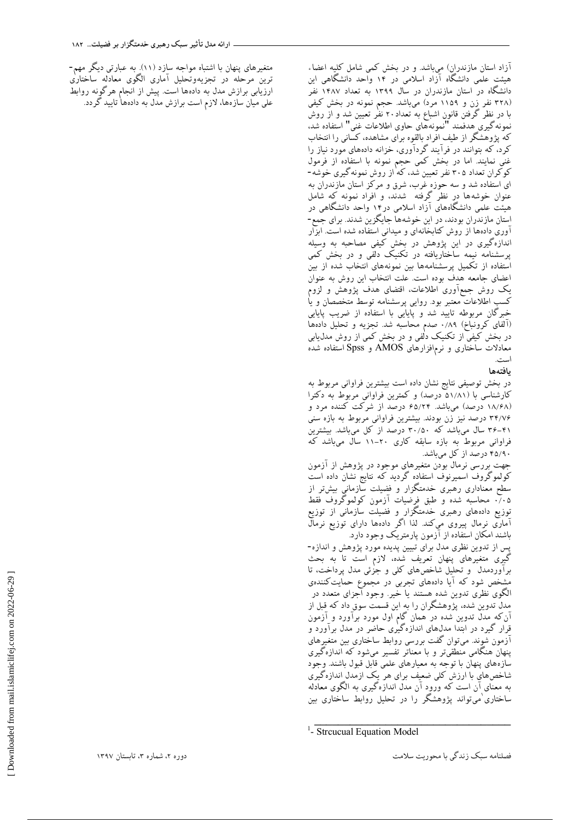آزاد استان مازندران) میباشد. و در بخش کمی شامل کلیه اعضاء هیئت علمی دانشگاه آزاد اسلامی در ۱۴ واحد دانشگاهی این دانشگاه در استان مازندران در سال ۱۳۹۹ به تعداد ۱۴۸۷ نفر (۳۲۸ نفر زن و ۱۱۵۹ مرد) می $باشد. حجم نمونه در بخش کیفی$ با در نظر گرفتن قانون اشباع به تعداد ۲۰ نفر تعیین شد و از روش<br>ا يُمونه گیری هدفمند "نمونههای حاوی اطلاعات غُنی" استفاده شد، ب -ر -ــر<br>نمونهگیری هدفمند "نمونههای حاوی اطلاعات غنی" استفاده شد،<br>که پژوهشگر از طیف افراد بالقوه برای مشاهده، کسانی را انتخاب کرد، که بتوانند در فرآیند گردآوری، خزانه دادههای مورد نیاز را غنی نمایند. اما در بخش کمی حجم نمونه با استفاده از فرمول کوکران تعداد ۳۰۵ نفر تعیین شد، که از روش نمونهگیری خوشه-ای استفاده شد و سه حوزه غرب، شرق و مرکز استان مازندران به عنوان خوشهها دِر نظر گرفته ً شدند، و افراد نمونه که شامل هیئت علمی دانشگاههای آزاد اسلامی در۱۴ واحد دانشگاهی در استان مازندران بودند، در این خوشهها جایگزین شدند. برای جمع-آوری دادهها از روش کتابخانهای و میدانی استفاده شده است. ابزار اندازهگیری در این پژوهش در بخش کیفی مصاحبه به وسیله پرسشنامه نیمه ساختاریافته در تکنیک دلفی و در بخش کمی استفاده از تکمیل پرسشنامهها بین نمونههای انتخاب شده از بین اعضای جامعه هدف بوده است. علت انتخاب این روش به عنوان یک روش جمعآوری اطلاعات، اقتضای هدف پژوهش و لزوم کسب اطلاعات معتبر بود. روایی پرسشنامه توسط متخصصان و یا خبرگان مربوطه تایید شد و پایایی با استفاده از ضریب پایایی (آلفای کرونباخ) ۰/۸۹ صدم محاسبه شد. تجزیه و تحلیل دادهها در بخش کیفی از تکنیک دلفی و در بخش کمی از روش مدل،یابی معادلات ساختاری و نرمافزارهای AMOS و Spss استفاده شُدّه است.

#### **یبفتههب**

در بخش توصیفی نتایج نشان داده است بیشترین فراوانی مربوط به کارشناسی با (۵۱/۸۱ درصد) و کمترین فراوانی مربوط به دکترا (۱۸/۶۸ درصد) میباشد. ۶۵/۲۴ درصد از شرکت کننده مرد و ۳۴/۷۶ درصد نیز زن بودند. بیشترین فراوانی مربوط به بازه سنی ۴۱-۳۶ سال میباشد که ۳۰/۵۰ درصد از کل میباشد. بیشترین فراوانی مربوط به بازه سابقه کاری ۲۰–۱۱ سال میباشد کَه 45/90 زضصس اظ کل هیثبضس.

جهت بررسی نرمال بودن متغیرهای موجود در پژوهش از آزمون کولموگروف اسمیرِنوف استفاده گردید که نتایج نشان داده است سطح معناداری رهبری خدمتگزار و فضیلت سازمانی بیشتر از 0٪0 محاسبِه شده و طَبق فرضیات آزمون کولموگروف فقط توزیع دادههای رهبری خدمتگزار و فضیلت سازمانی از توزیع آماری نرمال پیروی میکند. لذا اگر دادهها دارای توزیع نرمال باشند امکان استفاده از آزمون پارمتریک وجود دارد. پس از تدوین نظری مدل برای تبیین پدیده مورد پژوهش و اندازه-گیری متغیرهای پنهان تعریف شده، لازم است تا به بحث برأوردمدل و تحلیل شاخصهای کلی و جزئی مدل پرداخت، تا

مشِخص شود که آیا دادههای تجربی در مجموع حمایتکنندهی الگوی نظری تدوین شده هستند یا خَیر. وجود آجزای متعدد در مدل تدوین شده، پژوهشگران را به این قسمت سوق داد که قبل از آنکه مدل تدوین شده در همان گام اول مورد برآورد و آزمون قرار گیرد در ابتدا مدلّهای اندازهگیٰری حاضر در مدل برآورد و آزمون شوند. میتوان گفت بررسی روابط ساختاری بین متغیرهای پنهان هنگامی منطقیتر و با معناتر تفسیر میشود که اندازهگیری سازههای پنهان با توجه به معیارهای علمی قابل قبول باشند. وجود شاخصهای با ارزش کلی ضعیف برای هر یک ازمدل اندازهگیری به معنای آن است که ورود آن مدل اندازهگیری به الگوی معادله ساختاری ٰمی تواند پژوهشگر را در تحلیل روابط ساختاری بین

\_\_\_\_\_\_\_\_\_\_\_\_\_\_\_\_\_\_\_\_\_\_\_\_\_\_\_\_\_\_\_\_\_

متغیرهای پنهان با اشتباه مواجه سازد (۱۱). به عبارتی دیگر مهم-ترین مرحله در تجزیهوتحلیل آماری الگوی معادله ساختاری ارزیابی برازش مدل به دادهها است. پیش از انجام هرگونه روابط علی میان سازهها، لازم است برازش مدل به دادهها تایید گردد.

<sup>&</sup>lt;sup>1</sup>- Strcucual Equation Model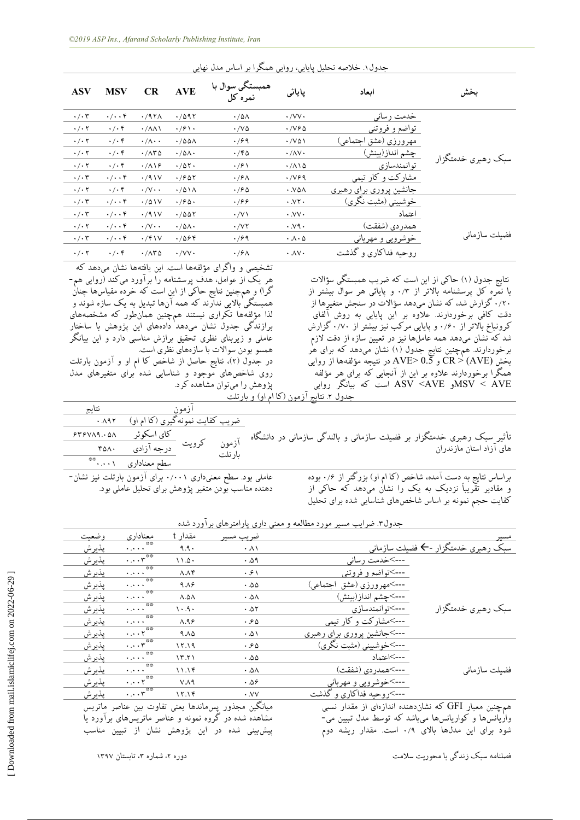| <b>ASV</b>      | <b>MSV</b>           | CR                                    | <b>AVE</b>                  | همبستگی سوال با<br>نمرہ کل   | پایائی                         | اىعاد                           |                    |
|-----------------|----------------------|---------------------------------------|-----------------------------|------------------------------|--------------------------------|---------------------------------|--------------------|
| $\cdot/\cdot$ ۳ | $\cdot/\cdot\cdot$ ۴ | $.797\Lambda$                         | .7097                       | $\cdot$ /0 $\wedge$          | $\cdot$ /VV $\cdot$            | خدمت رساني                      |                    |
| $\cdot/\cdot$ ۲ | $\cdot/\cdot$ ۴      | $\cdot$ / $\wedge \wedge \wedge$      | $\cdot$ / $\circ$ \ $\cdot$ | $\cdot$ /V $\Delta$          | ۰/۷۶۵                          | تواضع و فروتني                  |                    |
| $\cdot/\cdot$ ۲ | $\cdot/\cdot$ ۴      | $\cdot/\wedge\cdot\cdot$              | $\cdot$ /00 $\Lambda$       | .799                         | $\cdot$ /VQ\                   | مهرورزي (عشق اجتماعي)           |                    |
| $\cdot/\cdot$ ۲ | $\cdot/\cdot$ ۴      | $\cdot$ / $\wedge\mathbf{r}$ $\wedge$ | $\cdot/\Delta\Lambda$       | $\cdot$ /۴۵                  | $\cdot/\Delta V \cdot$         | چشم انداز(بینش)                 | سبک رهبري خدمتگزار |
| $\cdot/\cdot$ ۲ | $\cdot/\cdot$ ۴      | $\cdot/\Lambda$ \ $\epsilon$          | .705.                       | $\cdot$ /۶۱                  | $\cdot/\Lambda\setminus\Delta$ | توانمندسازي                     |                    |
| $\cdot/\cdot$ ۳ | $\cdot/\cdot\cdot$ ۴ | $\cdot$ /91V                          | $\cdot$ / $\sim$ 0 $\tau$   | $\cdot$ /۶ $\wedge$          | $\cdot$ /V&9                   | مشارکت و کار تیمی               |                    |
| $\cdot/\cdot$ ۲ | $\cdot/\cdot$ ۴      | $\cdot/\vee\cdot\cdot$                | $\cdot$ /011                | $\cdot$ / $\hat{z}$ $\wedge$ | $\cdot$ VAA                    | جانشین پروری برای رهب <u>ری</u> |                    |
| $\cdot/\cdot$ ۳ | $\cdot/\cdot\cdot$ ۴ | $\cdot$ /01V                          | $\cdot$ /90 $\cdot$         | .799                         | $\cdot$ VY $\cdot$             | خوشبینی (مثبت نگری)             |                    |
| $\cdot/\cdot$ ۳ | $\cdot/\cdot\cdot$ ۴ | $\cdot$ /91V                          | .7007                       | $\cdot$ /V $\wedge$          | $\cdot$ VV $\cdot$             | اعتماد                          |                    |
| $\cdot/\cdot$ ۲ | $\cdot/\cdot\cdot$ ۴ | $\cdot/\vee\cdot\cdot$                | $\cdot$ /۵۸ $\cdot$         | $\cdot$ / $\vee$ $\cdot$     | $\cdot$ $\vee$ $\circ$         | همدر دي (شفقت)                  |                    |
| $\cdot/\cdot$ ۳ | $\cdot/\cdot\cdot$ ۴ | $\cdot$ /۴۱۷                          | .7088                       | $\cdot$ / $\circ$ 9          | $\cdot \wedge \cdot \wedge$    | <u>خوشرویی و مهربانی</u>        | فضيلت ساز ماني     |
| $\cdot/\cdot$ ۲ | $\cdot$ / $\cdot$ ۴  | $\cdot$ / $\wedge\tau$ $\wedge$       | $\cdot$ /VV $\cdot$         | $\cdot$ /۶ $\wedge$          | $\cdot$ $\Lambda$ V $\cdot$    | روحیه فداکاری و گذشت            |                    |

جدول ۱. خلاصه تحلیل پاپایی، روایی همگرا بر اساس مدل نهایی

تشخیصی و واگرای مؤلفهها است. این یافتهها نشان میدهد که هر یک از عوامل، هدف پرسشنامه را برآورد میکند (روایی هم-گرا) و همچنین نتایج حاکی از این است که خرده مقیاسها چنان همبستگی بالایی ندآرند که همه آنها تبدیل به یک سازه شوند و لذا مؤلفهِها تکراری نیستند همچنین همان $d$ ور که مشخصههای برازندگی جدول نشان میدهد دادههای این پژوهش با ساختِار عاملی و زیربنای نظری تحقیق برازش مناسبی دارد و این بیانگر همسو بودن سوالات با سازههای نظری است. در جدول (٢)، نتایج حاصل از شاخص کا ام او و آزمون بارتلت

روی شاخصهای موجود و شناسایی شده برای متغیرهای مدل پژوهش را میتوان مشاهده کرد. <u>جدول ۲ نتایج آزمون (کا ام او) و بارتلت</u>

|                                                                                                                                                  |         | ازمون |                                                            | نتايج |
|--------------------------------------------------------------------------------------------------------------------------------------------------|---------|-------|------------------------------------------------------------|-------|
|                                                                                                                                                  |         |       | ضریب کفایت نمونه گیری (کا ام او) معهد .                    |       |
|                                                                                                                                                  |         |       |                                                            |       |
| تأثیر سبک رهبری خدمتگزار بر فضیلت سازمانی و بالندگی سازمانی در دانشگاه آزمون کرویت <mark>کای اسکوئر ۴۴۶۷۸۹.۰۵۸</mark><br>های آزاد استان مازندران | ىار تلت |       |                                                            |       |
|                                                                                                                                                  |         |       | سطح معناداری ۰.۰۰۱*                                        |       |
| براساس نتایج به دست آمده، شاخص (کا ام او) بزرگتر از ۰/۶ بوده                                                                                     |         |       | عاملی بود. سطح معنی داری ۰/۰۰۱ برای آزمون بارتلت نیز نشان- |       |

عاملی بود. سطح معنیداری ۰/۰۰۱ برای آزمون بارتلت نیز نشان-دهنده مناسب بودن متغیر پژوهش برای تحلیل عاملی بود.

براساس نتایج به دِستِ امده، شاخص (کا ام او) بزرگترِ از ۰٫۶ بوده و مقادیر تقریباً نزدیک به یک را نشان میدهد که حاکی از کفایت حجم نمونه بر اساس شاخصهای شناسایی شده برای تحلیل

نتایج جدول (۱) حاکی از این است که ضریب همبستگی سؤالات با نَمْره کل پرسشنامه بالاتر از ۰/۳ و پایائی هر سوال بیشتر از ۰/۲۰ گزارش شد، که نشان میدهد سؤالات در سنجش متغیرها از دقت کافی برخوردارند. علاوه بر این پایایی به روش آلفای کرونباخ بالاتر از ۰/۶۰ و پایایی مرکب نیز بیشتر از ۰/۷۰ گزارش شد که نشان میدهد همه عاملها نیز در تعیین سازه از دقت لازم برخوردارند. همچنین نتایج جدول (۱) نشان میدهد که برای هٰر بخش CR > (AVE) و AVE> 0.5 در نتیجِه مؤلفهِها از روایی همکرا برخوردارند علاوه بر این از آنجایی که برای هر مؤلفه<br>سودر ASV <AVE است که بیانگر روایی ASV < AVE

|                           | ضريب مسير                                                                                                                                                                      | مقدار t             | معناداري                                                        | وضعيت                                                                                                                                         |
|---------------------------|--------------------------------------------------------------------------------------------------------------------------------------------------------------------------------|---------------------|-----------------------------------------------------------------|-----------------------------------------------------------------------------------------------------------------------------------------------|
|                           | $\cdot \wedge \wedge$                                                                                                                                                          | 9.9.                |                                                                 | يذيرش                                                                                                                                         |
| --->خدمت رساني            | .09                                                                                                                                                                            | $11.0 \cdot$        |                                                                 | يذيرش                                                                                                                                         |
|                           | ۰۶۱                                                                                                                                                                            | $\Lambda \Lambda f$ |                                                                 | يذيرش                                                                                                                                         |
| --->مهرورزي (عشق اجتماعي) | .00                                                                                                                                                                            | 9.19                | **<br>المتحرم                                                   | يذيرش                                                                                                                                         |
| --->چشم انداز(بينش)       | ۵۸ ۰                                                                                                                                                                           | $\wedge$ . $\wedge$ | **<br>المتحرم                                                   | يذيرش                                                                                                                                         |
| --->توانمندسازي           | .07                                                                                                                                                                            | $\cdot$ .9.         | **<br>المتمرية                                                  | يذيرش                                                                                                                                         |
|                           | .60                                                                                                                                                                            | $\Lambda.95$        | **<br>$\sim 100$ km s $^{-1}$                                   | يذيرش                                                                                                                                         |
|                           | .01                                                                                                                                                                            | $9. \Lambda \Delta$ |                                                                 | يذيرش                                                                                                                                         |
|                           | .60                                                                                                                                                                            | 15.19               |                                                                 | يذيرش                                                                                                                                         |
| --->اعتماد                | .00                                                                                                                                                                            | 15.71               | **<br>لمتحربة                                                   | يذيرش                                                                                                                                         |
| --->همدر دى (شفقت)        | $. \Delta \Lambda$                                                                                                                                                             | 11.19               | **<br>لأعاجزه                                                   | يذيرش                                                                                                                                         |
|                           | ۵۶ ۰                                                                                                                                                                           | V.A9                |                                                                 | يذيرش                                                                                                                                         |
| --->روحيه فداكاري و گذشت  | $\cdot$ VV                                                                                                                                                                     | 15.19               | $\cdot \cdot \cdot r^{**}$                                      | يذيرش                                                                                                                                         |
|                           | سبک رهبری خدمتگزار -← فضیلت سازمانی<br>--->تواضع و فروتني<br>--->مشاركت وكار تيمي<br>--->جانشین پروری برای رهبری<br>--->خوشبيني (مثبت نگري)<br><u>---&gt;خوشرویی و مهربانی</u> |                     | جدول۳. ضرایب مسیر مورد مطالعه و معنی داری پارامترهای برآورد شده | $\cdot \cdot \cdot$<br>$\cdot \cdot \cdot$<br>$\cdot \cdot \cdot^{\ast\ast}$<br>$\cdot \cdot \cdot r^{\sqrt{2}}$<br>$\cdot \cdot \cdot \cdot$ |

همچنین معیارِ GFI که نشان۵هنده اندازهای از مقدار نسبی واریّانسّ ها وَ کواریانس ها می باشد که توسط مدل تبیین می-شود برای این مدلها بالای ۰/۹ است. مقدار ریشه دوم

میانگین مجذور پسهاندها یعنی تفاوت بین عناصر ماتریس مشاهده شده در گروه نمونه و عناصر ماتریسهای براورد یا پیش بینی شده در این پژوهش نشان از تبیین مناسب

فصلنامهِ سبک زندگی با محوریت سلامت ، مستخدمت مستخدمت می باشد ، وزیره ۲، شماره ۳، تابستان ۱۳۹۷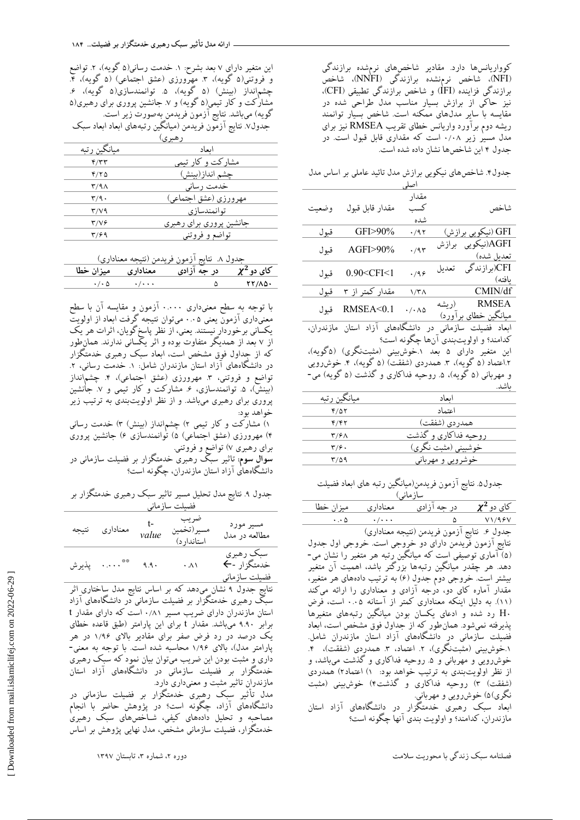جدول۴ شاخصهای نیکویی برازش مدل تائید عاملی بر اساس مدل اصلی

|                      |        | مقدار                               |                                           |        |  |
|----------------------|--------|-------------------------------------|-------------------------------------------|--------|--|
| شاخص                 |        | كسب<br>شده                          | مقدار قابل قبول                           | و ضعیت |  |
| GFI (نیکویی برازش)   |        | $\cdot$ /9٢                         | $GFI > 90\%$                              | قىول   |  |
| AGFI(نیکویی برازش    |        | .47                                 | $AGF1>90\%$                               | قبول   |  |
| تعديل شده)           |        |                                     |                                           |        |  |
| CFI)(بر از ندگی      | تعديل  | .499                                | 0.90 <cfi<1< td=""><td>قبول</td></cfi<1<> | قبول   |  |
| ىافتە)               |        |                                     |                                           |        |  |
| CMIN/df              |        | ۱/۳۸                                | مقدار کمتر از ۳                           | قىول   |  |
| <b>RMSEA</b>         | (ر ىشە | $\cdot$ / $\cdot$ $\wedge$ $\wedge$ | RMSEA<0.1                                 | قىول   |  |
| مىانگىن خطاي برأورد) |        |                                     |                                           |        |  |
|                      |        |                                     |                                           |        |  |

ابعاد فضیلت سازمانی در دانشگاههای آزاد استان مازندران، کدامند؟ و اولویتبندی آنها چگونه است؟

این متغیر دارای ۵ بعد ۱ خوشبینی (مثبتنگری) (۵گویه)، ۲.اعتماد (۵ گویه)، ۳. همدردی (شفقت) (۵ گویه)، ۴. خوشڕویی و مهربانی (۵ گویه)، ۵ روحیه فداکاری و گذشت (۵ گویه) می-باشد<u>.</u>

| مىانگىن رتبە            | اىعاد                |
|-------------------------|----------------------|
| 4/07                    | اعتماد               |
| ۴/۴۲                    | همدر دي (شفقت)       |
| $\mathbf{r}/\mathbf{r}$ | روحیه فداکاری و گذشت |
| ۳/۶۰                    | خوشبینی (مثبت نگری)  |
| ۳/۵۹                    | خوشرويي و مهرباني    |
|                         |                      |

جدول۵. نتایج آزمون فریدمن(میانگین رتبه های ابعاد فضیلت سازمانی)

 $\frac{\chi^2}{\frac{\chi^2}{\sqrt{1.48}}\sqrt{1.25}}$ در جه آزادی هیغناداری میزان خطا<br>۵ ۰.۰۵ ۰.۰۰۰ .  $\bullet$  /  $\bullet$  0.05  $\circ$  0.05  $\circ$  0.05  $\circ$  0.05  $\circ$  0.05  $\circ$  0.05  $\circ$  0.05  $\circ$  0.05  $\circ$  0.05  $\circ$  0.05  $\circ$  0.05  $\circ$  0.05  $\circ$  0.05  $\circ$  0.05  $\circ$  0.05  $\circ$  0.05  $\circ$  0.05  $\circ$  0.05  $\circ$  0.05  $\circ$  0.05  $\circ$  0.05  $\circ$ جدول ۶. نتایج آزمون فریدمن (نتیجِه معناداری) نتايج آزمون فريدمن دارای دو خرِوجی است. خروجی اول جدول (۵) آماری توصیفی است که میانگین رتبه هر متغیر را نشان می-دهد. هر چقدر میانگین رتبهها بزرگتر باشد، اهمیت آن متغیر بیشتر است. خروجی دوم جدول (۶) به ترتیب دادههای هر متغیر، مقدار آماره کای دو، دُرجِه آزادی و معناداری را ارائه میکند (١١). به دلیل اینکه معناداری کمتر از آستانه ۰.۰۵ است، فرض ن شده و ادعای یکسان بودن میانگین رتبههای متغیرها  $\rm H\cdot$ یذیرفته نمی شود. همانِ طور که از جِداول فوق مشخص است، ابعاد فُضیلت سازمانی در دانشگاههای آزاد استان مازندران شامل. ۱.خَوشِیینی (مثبتنگری)، ۲. اعتماد، ۳. همدردی (شفقت)، ۴. خوشررویی و مهربانی و ۵ روحیه فداکاری و گذشت میباشد، و از نظر اولویتبندی به ترتیب خواهد بود: ۱) اعتماد۲) همدردی (شفقت) ۳) روحیه فداکاری و گذشت۴) خوشبینی (مثبت نگری)۵) خوشرویی و مهربانی. ابعاد سبک رهبری خدمتگزار در دانشگاههای آزاد استان مازندران، کدامند؟ و اولویت بندی آنها چگونه است؟

این متغیر دارای ۷ بعد بشرح: ۱. خدمت رسانی(۵ گویه)، ۲. تواضع و فروتنی(۵ گویه)، ۳ مهرورزی (عشق اجتماعی) (۵ گویه)، ۴. چشمانداز (بینش) (۵ گَویِه)، ۵ توانمندسازی(۵ گویه)، ۶. مشارکت و کار تیمی(۵ گویه) و ۷ـ جانشین پروری برای رهبری(۵ گويه) ميباشد. نتايج آزمون فريدمن بهصورت زير است. جدول۷ نتایج آزمّون فریدمن (میانگین رتبههای ابعاد ابعاد سبک

|                           | ر هېر ي                 |
|---------------------------|-------------------------|
| مىانگىن رتىە              | اىعاد                   |
| ۴/۳۳                      | مشارکت و کار تیمی       |
| ۴/۲۵                      | جشم انداز (سنش)         |
| $\mathbf{Y}/\mathbf{A}$   | خدمت رساني              |
| $\mathbf{r}/\mathbf{q}$ . | مهرورزي (عشق اجتماعي)   |
| 37V9                      | توانمندسازی             |
| ۳/۷۶                      | جانشین پروری برای رهبری |
| ۳۱۶۹                      | تواضع و فروتنې          |
|                           |                         |

|  |  | جدول ٨. نتايج ازمون فريدمن (نتيجه معناداري) |  |
|--|--|---------------------------------------------|--|
|  |  |                                             |  |

| مىزان خطا                  |                           | $\tau$<br>در س | کای دو $\mathsf{Y}^\mathsf{2}$ |
|----------------------------|---------------------------|----------------|--------------------------------|
| $\cdot$ / $\cdot$ $\wedge$ | $\cdot$ / $\cdot$ $\cdot$ |                |                                |
|                            |                           |                |                                |

با توجِه به سطح معنیداری ۰.۰۰۰ آزمون و مقایسه آن با سطح معنىدارى آزمون یعنی ۰.۰۵ میتوان نتیجه گرفت ابعاد از اولویت یکسانی برخوردارِ نیستند. یعنی، از نظر پاسخگویان، اثرات هر یک از ۷ بعد از همدیگر متفاوت بوده و اثر یکسانی ندارند. همانطور که از جداول فوق مشخص است، ابعاد سبک رهبری خدمتگزار در دانشگاههای آزاد استان مازندران شامل: ۱. خدمت رسانی، ۲. تواضع و فروتنی، ۳ مهرورزی (عشق اجتماعی)، ۴. چشمانداز (بینش)، ۵. توانمندسازی، ۶. مشارکت و کار تیمی و ۷ جانشین پروری برای رهبری میباشد. و از نظر اولویتبندی به ترتیب زیر خُواهد بود:

۱) مشارکت و کار تیمی ۲) چشمانداز (بینش) ۳) خدمت رسانی ۴) مهرورزی (عشق اجتماعی) ۵) تُوانمندسازی ۶) جانشین پروری برای رهبری ۷) تواضع و فروتنی.

**سوال سوم**: تاثیر سبک رهبری خدمتگزار بر فضیلت سازمانی در دانشگاههای آزاد استان مازندران، چگونه است؟

جدول ۹ نتایج مدل تحلیل مسیر تاثیر سبک رهبری خدمتگزار بر فضیلت سازمانی

| معنادارى نتيجه | value | ضريب<br>مسير (تخمين<br>استاندار د) | مسير مورد<br>مطالعه در مدل                 |
|----------------|-------|------------------------------------|--------------------------------------------|
| ** پذیرش       | 99.   | $\cdot \Lambda$                    | سبکِ رهبري<br>خدمتگزار -←<br>فضيلت سازماني |

نتایج جدول ۹ نشان میدهد که بر اساس نتایج مدل ساختاری اثر سبک رهبری خدمتگزار بر فضیلت سازمانی دّر دانشگاههای آزاد استان مازندران دارای ضریب مسیر ۰/۸۱ است که دارای مقدار t برابر ۹.۹۰ میباشد. مقدار t برای این پارامتر (طبق قاعده خطای یک درصد در رد فرض صفر برای مقادیر بالای ۱/۹۶ در هر پارامتر مدل)، بالای ۱/۹۶ محاسبه شده است. با توجهِ به معنی-داری وِ مثبت بودن این ضریب میتوان بیان نَموِد که سبک رهبری خدمتگزار بر فضیلت سازمانی در دانشگاههای آزاد استان مازندران تاثیر مثبت و معنیداری دارد.

مدل ِتأثیر سبک رهِبری خدمتگزار بر فضیلت سازمانی در دانشگاههای آزاد، چگونه است؟ در پژوهش حاضر با انجام مصاحبه و تحلیل دادههای کیفی، شــاخصهای سبک رهبری خدمتگزار، فضیلت سازمانی مشخص، مدل نهایی پژوهش بر اساس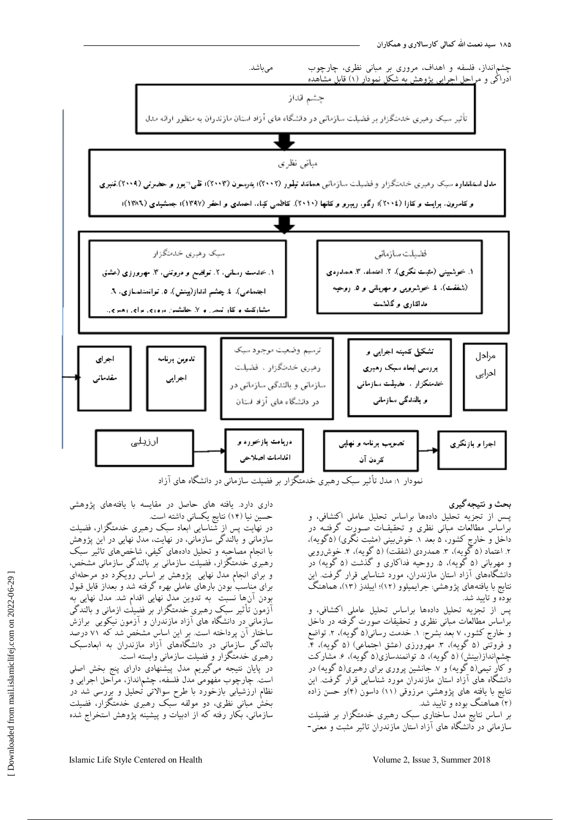

نمودار ۱: مدل تأثیر سبک رهبری خدمتگزار بر فضیلت سازمانی در دانشگاه های آزاد

# **بحث و نتیجهگیزی**

پـس از تجزیه تحلیل دادهها براساس تحلیل عاملی اکتشافی، و براساس مطالعات مبانی نظری و تحقیقــات صــورت گرفتــه در داخل و خارجِ کشور، ۵ بعد ۱ خوشبینی (مثبت نکری) (۵کویه)، ۲. اعتماد (۵ گُویه)، ۳. همدردی (شفقت) (۵ گُویه)، ۴. خُوشرویی و مهربانی (۵ گویه)، ۵ روحیه فداکاری و گذشت (۵ گویه) در دانشگاههای آزاد استان مازندران، مورد شناسایی قرار گرفت. این نتایج با یافتههای پژوهشی: جرایمیلوو (۱۲)؛ اییلدز (۱۳)، هماهنگ بوده و تایید شد.

پس از تجزیه تحلیل دادهها براساس تحلیل عاملی اکتشافی، و براساس مطالعات مبانی نظری و تحقیقات صورت گرفته در داخل و خارج کشور، ۷ بعد بشرح: ۱. خدمت رسانی(۵ گَویه)، ۲. تواضع و فروتنی (۵ گُویه)، ۳ مهرورزی (عشق اجتماعی) (۵ گُویه)، ۴. چشمانداز(بینش) (۵ گویه)، ۵ توانمندسازی(۵ گویه)، ۶ مشارکت و کار تیمی(۵ گویه) و ۷ جانشین پروری برای رهبری(۵ گویه) در دانشگاه های آزاد استان مازندران مورد شناسایی قرار گرفت. این نتايج با یافته های پژوهشي: مرزوقي (١١) داسون (۴)و حسن زاده (۲) هماهنگ بوده و تایید شد.

بر اساس نتایج مدل ساختاری سبک رهبری خدمتگزار بر فضیلت سازمانی در دانشگاه های آزاد استان مازندران تاثیر مثبت و معنی-

داری دارد. یافته های حاصل در مقایسه با یافتههای پژوهشی حسین نیا (۱۴) نتایج یکسانی داشته است.

در نهایت پس از شناسایی ابعاد سبک رهبری خدمتگزار، فضیلت سازمانی و بالندگی سازمانی، در نهایت، مدل نهایی در این پژوهش با انجام مصاحبِه و تحلیل دادههای کیفی، شاخصهای تاثیر سبک رهبری خدمتگزار، فضیلت سازمانی بر بالندگی سازمانی مشخص، و برای انجام مدل نهایی پژوهش بر اساس رویکرد دو مرحلهای برای مناسب بودن بارهای عاملی بهره گرفته شد و بعداز قابل قبول بودن آنها نسبت ً به تدوین مدل نهایی اقدام شد. مدل نهایی به آزمون تأثیر سبک رهبری خدمتگزار بر فضیلت ازمانی و بالندگی سازمانی در دانشگاه های آزاد مازندران و آزمون نیکویی ًبرازش ساختار آن پرداخته است. بر این اساس مشخص شد که ۷۱ درصد بالندگی سازمانی در دانشگاههای آزاد مازندران به ابعادسبک رهبری خدمتگزار و فضیلت سازمانی وابسته است.

در پایان نتیجه میگیریم مدل پیشنهادی دارای پنج بخش اصلی است. چارچوب مفهومی مدل فلسفه، چشمانداز، مراحل اجرایی و نظام ارزشیابی بازخورد با طرح سوالاتی تحلیل و بررسی شد در بخش مبانی نظری، دو مولفه سبک رهبری خدمتگزار، فضیلت .<br>سازمانی، بکار رفته که از ادبیات و پیشینه پژوهش استخراج شده